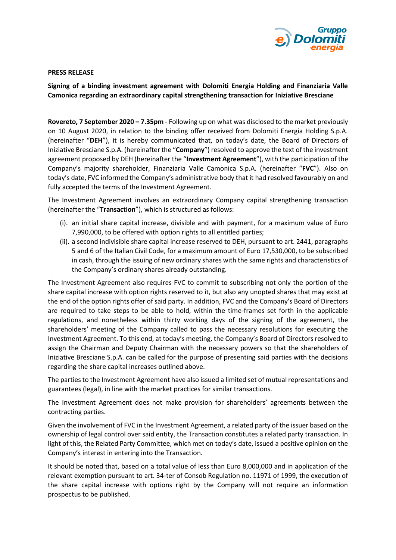

## **PRESS RELEASE**

**Signing of a binding investment agreement with Dolomiti Energia Holding and Finanziaria Valle Camonica regarding an extraordinary capital strengthening transaction for Iniziative Bresciane**

**Rovereto, 7 September 2020 – 7.35pm** - Following up on what was disclosed to the market previously on 10 August 2020, in relation to the binding offer received from Dolomiti Energia Holding S.p.A. (hereinafter "**DEH**"), it is hereby communicated that, on today's date, the Board of Directors of Iniziative Bresciane S.p.A. (hereinafter the "**Company**") resolved to approve the text of the investment agreement proposed by DEH (hereinafter the "**Investment Agreement**"), with the participation of the Company's majority shareholder, Finanziaria Valle Camonica S.p.A. (hereinafter "**FVC**"). Also on today's date, FVC informed the Company's administrative body that it had resolved favourably on and fully accepted the terms of the Investment Agreement.

The Investment Agreement involves an extraordinary Company capital strengthening transaction (hereinafter the "**Transaction**"), which is structured as follows:

- (i). an initial share capital increase, divisible and with payment, for a maximum value of Euro 7,990,000, to be offered with option rights to all entitled parties;
- (ii). a second indivisible share capital increase reserved to DEH, pursuant to art. 2441, paragraphs 5 and 6 of the Italian Civil Code, for a maximum amount of Euro 17,530,000, to be subscribed in cash, through the issuing of new ordinary shares with the same rights and characteristics of the Company's ordinary shares already outstanding.

The Investment Agreement also requires FVC to commit to subscribing not only the portion of the share capital increase with option rights reserved to it, but also any unopted shares that may exist at the end of the option rights offer of said party. In addition, FVC and the Company's Board of Directors are required to take steps to be able to hold, within the time-frames set forth in the applicable regulations, and nonetheless within thirty working days of the signing of the agreement, the shareholders' meeting of the Company called to pass the necessary resolutions for executing the Investment Agreement. To this end, at today's meeting, the Company's Board of Directors resolved to assign the Chairman and Deputy Chairman with the necessary powers so that the shareholders of Iniziative Bresciane S.p.A. can be called for the purpose of presenting said parties with the decisions regarding the share capital increases outlined above.

The parties to the Investment Agreement have also issued a limited set of mutual representations and guarantees (legal), in line with the market practices for similar transactions.

The Investment Agreement does not make provision for shareholders' agreements between the contracting parties.

Given the involvement of FVC in the Investment Agreement, a related party of the issuer based on the ownership of legal control over said entity, the Transaction constitutes a related party transaction. In light of this, the Related Party Committee, which met on today's date, issued a positive opinion on the Company's interest in entering into the Transaction.

It should be noted that, based on a total value of less than Euro 8,000,000 and in application of the relevant exemption pursuant to art. 34-ter of Consob Regulation no. 11971 of 1999, the execution of the share capital increase with options right by the Company will not require an information prospectus to be published.